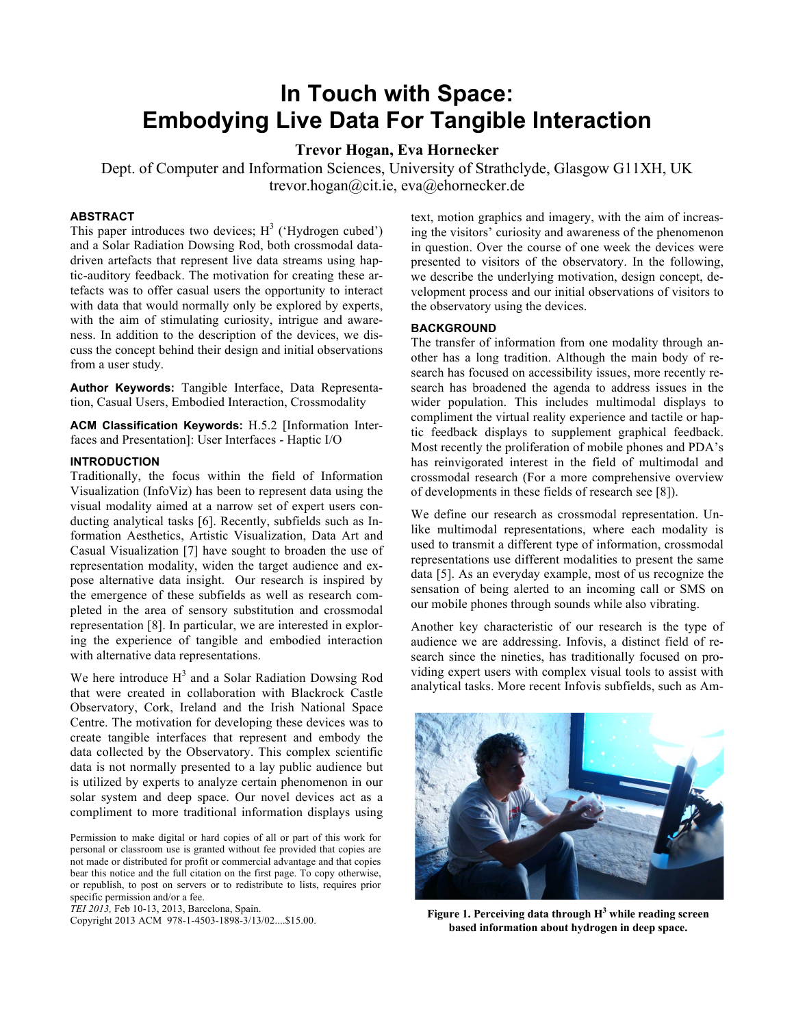# **In Touch with Space: Embodying Live Data For Tangible Interaction**

# **Trevor Hogan, Eva Hornecker**

Dept. of Computer and Information Sciences, University of Strathclyde, Glasgow G11XH, UK trevor.hogan@cit.ie, eva@ehornecker.de

# **ABSTRACT**

This paper introduces two devices;  $H^3$  ('Hydrogen cubed') and a Solar Radiation Dowsing Rod, both crossmodal datadriven artefacts that represent live data streams using haptic-auditory feedback. The motivation for creating these artefacts was to offer casual users the opportunity to interact with data that would normally only be explored by experts, with the aim of stimulating curiosity, intrigue and awareness. In addition to the description of the devices, we discuss the concept behind their design and initial observations from a user study.

**Author Keywords:** Tangible Interface, Data Representation, Casual Users, Embodied Interaction, Crossmodality

**ACM Classification Keywords:** H.5.2 [Information Interfaces and Presentation]: User Interfaces - Haptic I/O

#### **INTRODUCTION**

Traditionally, the focus within the field of Information Visualization (InfoViz) has been to represent data using the visual modality aimed at a narrow set of expert users conducting analytical tasks [6]. Recently, subfields such as Information Aesthetics, Artistic Visualization, Data Art and Casual Visualization [7] have sought to broaden the use of representation modality, widen the target audience and expose alternative data insight. Our research is inspired by the emergence of these subfields as well as research completed in the area of sensory substitution and crossmodal representation [8]. In particular, we are interested in exploring the experience of tangible and embodied interaction with alternative data representations.

We here introduce  $H<sup>3</sup>$  and a Solar Radiation Dowsing Rod that were created in collaboration with Blackrock Castle Observatory, Cork, Ireland and the Irish National Space Centre. The motivation for developing these devices was to create tangible interfaces that represent and embody the data collected by the Observatory. This complex scientific data is not normally presented to a lay public audience but is utilized by experts to analyze certain phenomenon in our solar system and deep space. Our novel devices act as a compliment to more traditional information displays using

Permission to make digital or hard copies of all or part of this work for personal or classroom use is granted without fee provided that copies are not made or distributed for profit or commercial advantage and that copies bear this notice and the full citation on the first page. To copy otherwise, or republish, to post on servers or to redistribute to lists, requires prior specific permission and/or a fee.

*TEI 2013,* Feb 10-13, 2013, Barcelona, Spain.

Copyright 2013 ACM 978-1-4503-1898-3/13/02....\$15.00.

text, motion graphics and imagery, with the aim of increasing the visitors' curiosity and awareness of the phenomenon in question. Over the course of one week the devices were presented to visitors of the observatory. In the following, we describe the underlying motivation, design concept, development process and our initial observations of visitors to the observatory using the devices.

#### **BACKGROUND**

The transfer of information from one modality through another has a long tradition. Although the main body of research has focused on accessibility issues, more recently research has broadened the agenda to address issues in the wider population. This includes multimodal displays to compliment the virtual reality experience and tactile or haptic feedback displays to supplement graphical feedback. Most recently the proliferation of mobile phones and PDA's has reinvigorated interest in the field of multimodal and crossmodal research (For a more comprehensive overview of developments in these fields of research see [8]).

We define our research as crossmodal representation. Unlike multimodal representations, where each modality is used to transmit a different type of information, crossmodal representations use different modalities to present the same data [5]. As an everyday example, most of us recognize the sensation of being alerted to an incoming call or SMS on our mobile phones through sounds while also vibrating.

Another key characteristic of our research is the type of audience we are addressing. Infovis, a distinct field of research since the nineties, has traditionally focused on providing expert users with complex visual tools to assist with analytical tasks. More recent Infovis subfields, such as Am-



**Figure 1. Perceiving data through H<sup>3</sup> while reading screen based information about hydrogen in deep space.**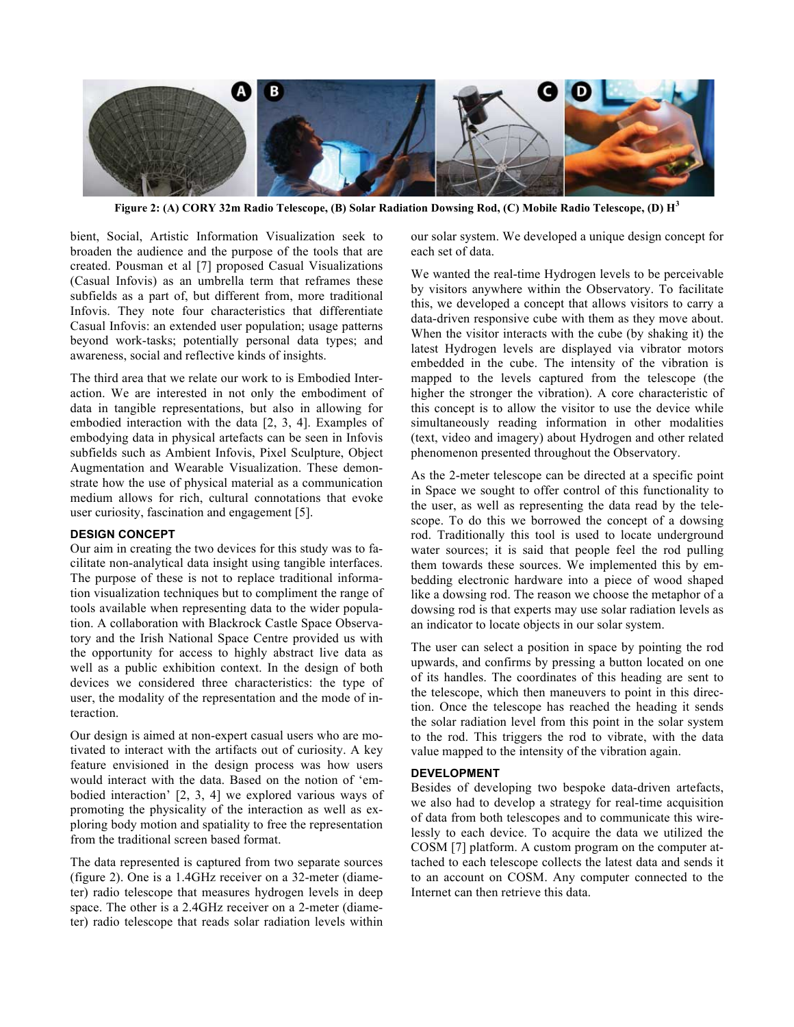

**Figure 2: (A) CORY 32m Radio Telescope, (B) Solar Radiation Dowsing Rod, (C) Mobile Radio Telescope, (D) H<sup>3</sup>**

bient, Social, Artistic Information Visualization seek to broaden the audience and the purpose of the tools that are created. Pousman et al [7] proposed Casual Visualizations (Casual Infovis) as an umbrella term that reframes these subfields as a part of, but different from, more traditional Infovis. They note four characteristics that differentiate Casual Infovis: an extended user population; usage patterns beyond work-tasks; potentially personal data types; and awareness, social and reflective kinds of insights.

The third area that we relate our work to is Embodied Interaction. We are interested in not only the embodiment of data in tangible representations, but also in allowing for embodied interaction with the data [2, 3, 4]. Examples of embodying data in physical artefacts can be seen in Infovis subfields such as Ambient Infovis, Pixel Sculpture, Object Augmentation and Wearable Visualization. These demonstrate how the use of physical material as a communication medium allows for rich, cultural connotations that evoke user curiosity, fascination and engagement [5].

# **DESIGN CONCEPT**

Our aim in creating the two devices for this study was to facilitate non-analytical data insight using tangible interfaces. The purpose of these is not to replace traditional information visualization techniques but to compliment the range of tools available when representing data to the wider population. A collaboration with Blackrock Castle Space Observatory and the Irish National Space Centre provided us with the opportunity for access to highly abstract live data as well as a public exhibition context. In the design of both devices we considered three characteristics: the type of user, the modality of the representation and the mode of interaction.

Our design is aimed at non-expert casual users who are motivated to interact with the artifacts out of curiosity. A key feature envisioned in the design process was how users would interact with the data. Based on the notion of 'embodied interaction' [2, 3, 4] we explored various ways of promoting the physicality of the interaction as well as exploring body motion and spatiality to free the representation from the traditional screen based format.

The data represented is captured from two separate sources (figure 2). One is a 1.4GHz receiver on a 32-meter (diameter) radio telescope that measures hydrogen levels in deep space. The other is a 2.4GHz receiver on a 2-meter (diameter) radio telescope that reads solar radiation levels within

our solar system. We developed a unique design concept for each set of data.

We wanted the real-time Hydrogen levels to be perceivable by visitors anywhere within the Observatory. To facilitate this, we developed a concept that allows visitors to carry a data-driven responsive cube with them as they move about. When the visitor interacts with the cube (by shaking it) the latest Hydrogen levels are displayed via vibrator motors embedded in the cube. The intensity of the vibration is mapped to the levels captured from the telescope (the higher the stronger the vibration). A core characteristic of this concept is to allow the visitor to use the device while simultaneously reading information in other modalities (text, video and imagery) about Hydrogen and other related phenomenon presented throughout the Observatory.

As the 2-meter telescope can be directed at a specific point in Space we sought to offer control of this functionality to the user, as well as representing the data read by the telescope. To do this we borrowed the concept of a dowsing rod. Traditionally this tool is used to locate underground water sources; it is said that people feel the rod pulling them towards these sources. We implemented this by embedding electronic hardware into a piece of wood shaped like a dowsing rod. The reason we choose the metaphor of a dowsing rod is that experts may use solar radiation levels as an indicator to locate objects in our solar system.

The user can select a position in space by pointing the rod upwards, and confirms by pressing a button located on one of its handles. The coordinates of this heading are sent to the telescope, which then maneuvers to point in this direction. Once the telescope has reached the heading it sends the solar radiation level from this point in the solar system to the rod. This triggers the rod to vibrate, with the data value mapped to the intensity of the vibration again.

#### **DEVELOPMENT**

Besides of developing two bespoke data-driven artefacts, we also had to develop a strategy for real-time acquisition of data from both telescopes and to communicate this wirelessly to each device. To acquire the data we utilized the COSM [7] platform. A custom program on the computer attached to each telescope collects the latest data and sends it to an account on COSM. Any computer connected to the Internet can then retrieve this data.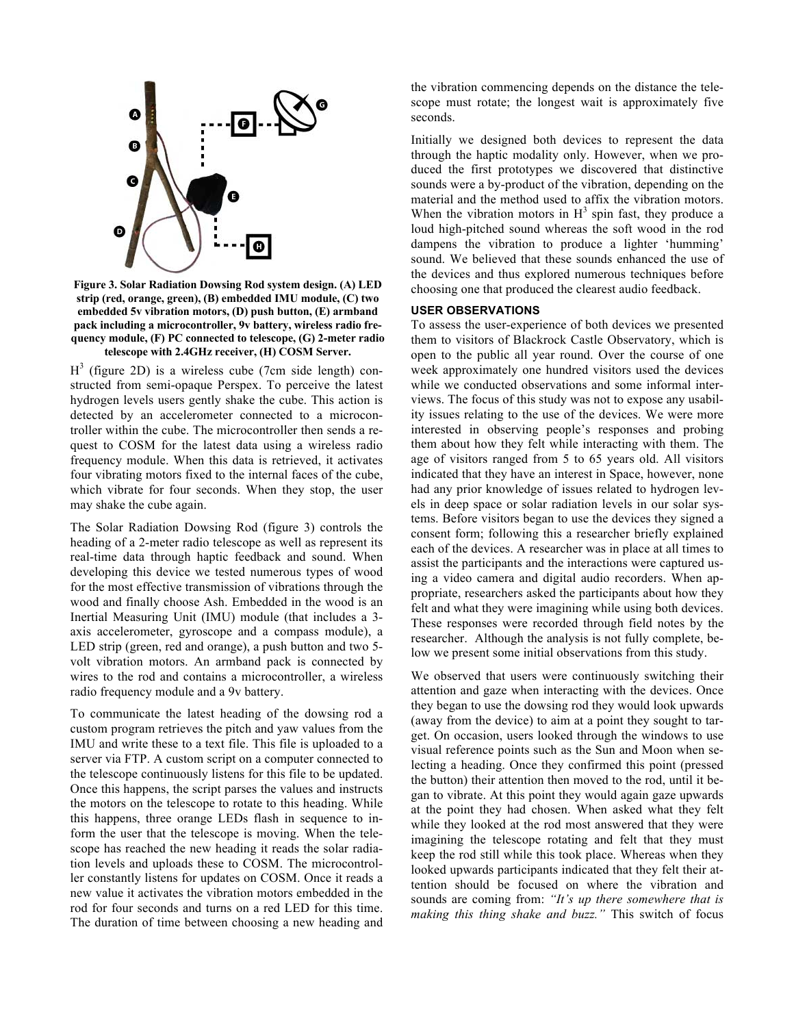

**Figure 3. Solar Radiation Dowsing Rod system design. (A) LED strip (red, orange, green), (B) embedded IMU module, (C) two embedded 5v vibration motors, (D) push button, (E) armband pack including a microcontroller, 9v battery, wireless radio frequency module, (F) PC connected to telescope, (G) 2-meter radio telescope with 2.4GHz receiver, (H) COSM Server.**

 $H<sup>3</sup>$  (figure 2D) is a wireless cube (7cm side length) constructed from semi-opaque Perspex. To perceive the latest hydrogen levels users gently shake the cube. This action is detected by an accelerometer connected to a microcontroller within the cube. The microcontroller then sends a request to COSM for the latest data using a wireless radio frequency module. When this data is retrieved, it activates four vibrating motors fixed to the internal faces of the cube, which vibrate for four seconds. When they stop, the user may shake the cube again.

The Solar Radiation Dowsing Rod (figure 3) controls the heading of a 2-meter radio telescope as well as represent its real-time data through haptic feedback and sound. When developing this device we tested numerous types of wood for the most effective transmission of vibrations through the wood and finally choose Ash. Embedded in the wood is an Inertial Measuring Unit (IMU) module (that includes a 3 axis accelerometer, gyroscope and a compass module), a LED strip (green, red and orange), a push button and two 5 volt vibration motors. An armband pack is connected by wires to the rod and contains a microcontroller, a wireless radio frequency module and a 9v battery.

To communicate the latest heading of the dowsing rod a custom program retrieves the pitch and yaw values from the IMU and write these to a text file. This file is uploaded to a server via FTP. A custom script on a computer connected to the telescope continuously listens for this file to be updated. Once this happens, the script parses the values and instructs the motors on the telescope to rotate to this heading. While this happens, three orange LEDs flash in sequence to inform the user that the telescope is moving. When the telescope has reached the new heading it reads the solar radiation levels and uploads these to COSM. The microcontroller constantly listens for updates on COSM. Once it reads a new value it activates the vibration motors embedded in the rod for four seconds and turns on a red LED for this time. The duration of time between choosing a new heading and the vibration commencing depends on the distance the telescope must rotate; the longest wait is approximately five seconds.

Initially we designed both devices to represent the data through the haptic modality only. However, when we produced the first prototypes we discovered that distinctive sounds were a by-product of the vibration, depending on the material and the method used to affix the vibration motors. When the vibration motors in  $H<sup>3</sup>$  spin fast, they produce a loud high-pitched sound whereas the soft wood in the rod dampens the vibration to produce a lighter 'humming' sound. We believed that these sounds enhanced the use of the devices and thus explored numerous techniques before choosing one that produced the clearest audio feedback.

#### **USER OBSERVATIONS**

To assess the user-experience of both devices we presented them to visitors of Blackrock Castle Observatory, which is open to the public all year round. Over the course of one week approximately one hundred visitors used the devices while we conducted observations and some informal interviews. The focus of this study was not to expose any usability issues relating to the use of the devices. We were more interested in observing people's responses and probing them about how they felt while interacting with them. The age of visitors ranged from 5 to 65 years old. All visitors indicated that they have an interest in Space, however, none had any prior knowledge of issues related to hydrogen levels in deep space or solar radiation levels in our solar systems. Before visitors began to use the devices they signed a consent form; following this a researcher briefly explained each of the devices. A researcher was in place at all times to assist the participants and the interactions were captured using a video camera and digital audio recorders. When appropriate, researchers asked the participants about how they felt and what they were imagining while using both devices. These responses were recorded through field notes by the researcher. Although the analysis is not fully complete, below we present some initial observations from this study.

We observed that users were continuously switching their attention and gaze when interacting with the devices. Once they began to use the dowsing rod they would look upwards (away from the device) to aim at a point they sought to target. On occasion, users looked through the windows to use visual reference points such as the Sun and Moon when selecting a heading. Once they confirmed this point (pressed the button) their attention then moved to the rod, until it began to vibrate. At this point they would again gaze upwards at the point they had chosen. When asked what they felt while they looked at the rod most answered that they were imagining the telescope rotating and felt that they must keep the rod still while this took place. Whereas when they looked upwards participants indicated that they felt their attention should be focused on where the vibration and sounds are coming from: *"It's up there somewhere that is making this thing shake and buzz."* This switch of focus